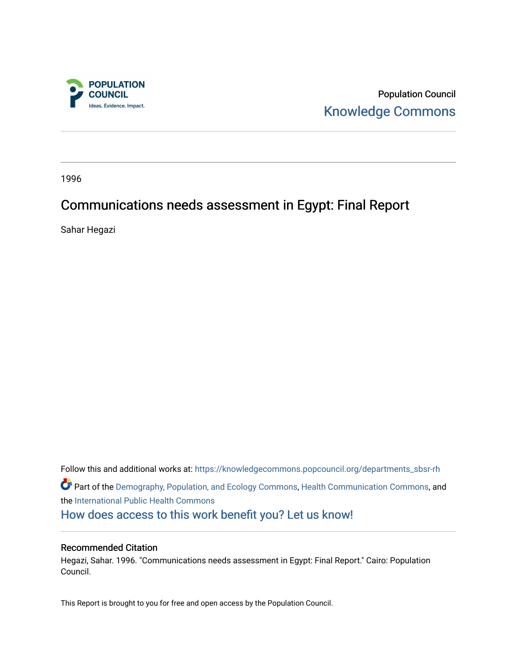

Population Council [Knowledge Commons](https://knowledgecommons.popcouncil.org/) 

1996

# Communications needs assessment in Egypt: Final Report

Sahar Hegazi

Follow this and additional works at: [https://knowledgecommons.popcouncil.org/departments\\_sbsr-rh](https://knowledgecommons.popcouncil.org/departments_sbsr-rh?utm_source=knowledgecommons.popcouncil.org%2Fdepartments_sbsr-rh%2F2023&utm_medium=PDF&utm_campaign=PDFCoverPages)  Part of the [Demography, Population, and Ecology Commons,](https://network.bepress.com/hgg/discipline/418?utm_source=knowledgecommons.popcouncil.org%2Fdepartments_sbsr-rh%2F2023&utm_medium=PDF&utm_campaign=PDFCoverPages) [Health Communication Commons,](https://network.bepress.com/hgg/discipline/330?utm_source=knowledgecommons.popcouncil.org%2Fdepartments_sbsr-rh%2F2023&utm_medium=PDF&utm_campaign=PDFCoverPages) and the [International Public Health Commons](https://network.bepress.com/hgg/discipline/746?utm_source=knowledgecommons.popcouncil.org%2Fdepartments_sbsr-rh%2F2023&utm_medium=PDF&utm_campaign=PDFCoverPages)  [How does access to this work benefit you? Let us know!](https://pcouncil.wufoo.com/forms/open-access-to-population-council-research/)

#### Recommended Citation

Hegazi, Sahar. 1996. "Communications needs assessment in Egypt: Final Report." Cairo: Population Council.

This Report is brought to you for free and open access by the Population Council.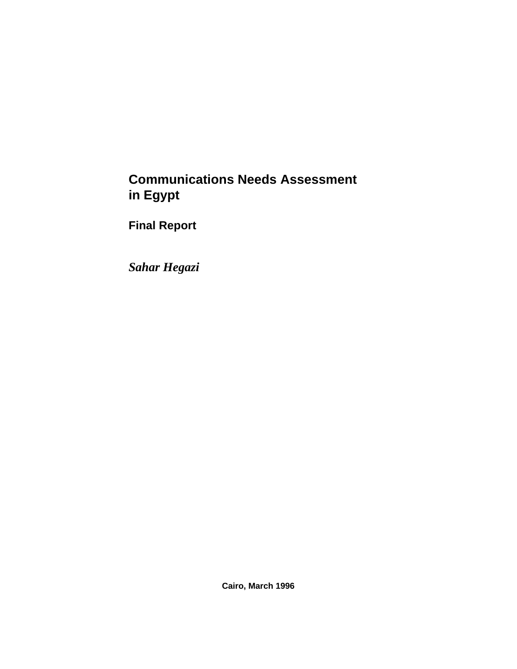# **Communications Needs Assessment in Egypt**

**Final Report**

*Sahar Hegazi*

**Cairo, March 1996**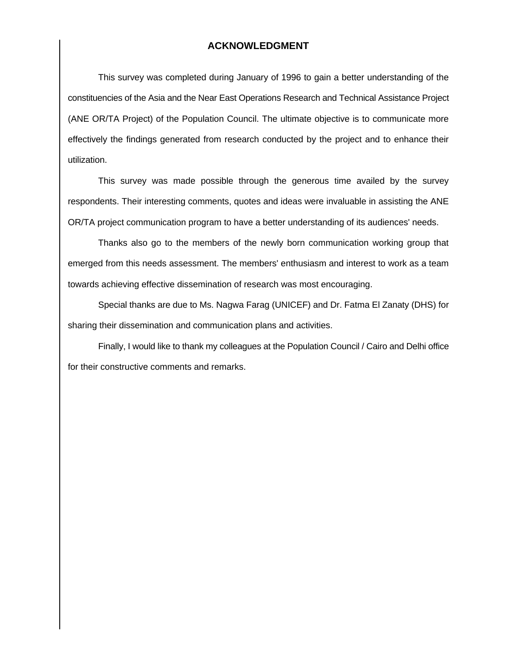#### **ACKNOWLEDGMENT**

This survey was completed during January of 1996 to gain a better understanding of the constituencies of the Asia and the Near East Operations Research and Technical Assistance Project (ANE OR/TA Project) of the Population Council. The ultimate objective is to communicate more effectively the findings generated from research conducted by the project and to enhance their utilization.

This survey was made possible through the generous time availed by the survey respondents. Their interesting comments, quotes and ideas were invaluable in assisting the ANE OR/TA project communication program to have a better understanding of its audiences' needs.

Thanks also go to the members of the newly born communication working group that emerged from this needs assessment. The members' enthusiasm and interest to work as a team towards achieving effective dissemination of research was most encouraging.

Special thanks are due to Ms. Nagwa Farag (UNICEF) and Dr. Fatma El Zanaty (DHS) for sharing their dissemination and communication plans and activities.

Finally, I would like to thank my colleagues at the Population Council / Cairo and Delhi office for their constructive comments and remarks.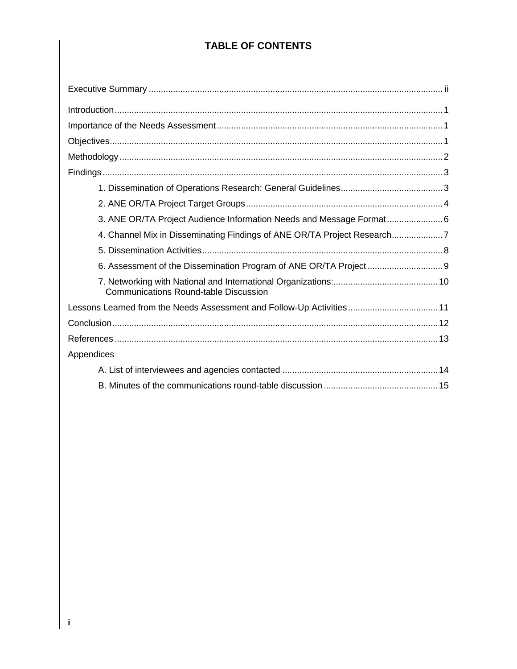## **TABLE OF CONTENTS**

| 4. Channel Mix in Disseminating Findings of ANE OR/TA Project Research7 |  |
|-------------------------------------------------------------------------|--|
|                                                                         |  |
|                                                                         |  |
| <b>Communications Round-table Discussion</b>                            |  |
| Lessons Learned from the Needs Assessment and Follow-Up Activities 11   |  |
|                                                                         |  |
|                                                                         |  |
| Appendices                                                              |  |
|                                                                         |  |
|                                                                         |  |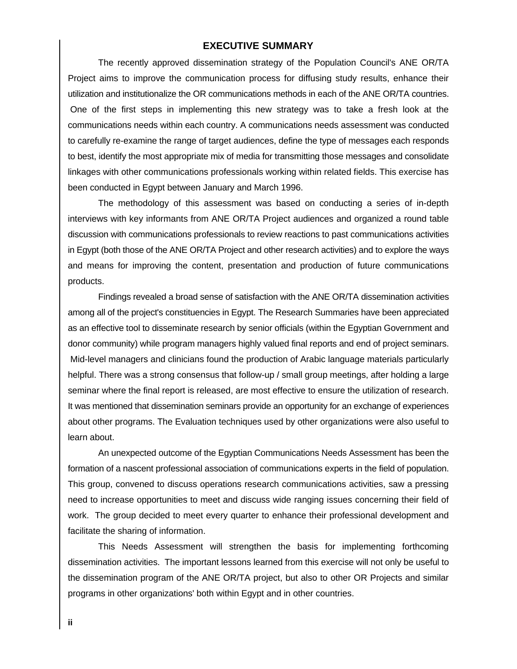#### **EXECUTIVE SUMMARY**

The recently approved dissemination strategy of the Population Council's ANE OR/TA Project aims to improve the communication process for diffusing study results, enhance their utilization and institutionalize the OR communications methods in each of the ANE OR/TA countries. One of the first steps in implementing this new strategy was to take a fresh look at the communications needs within each country. A communications needs assessment was conducted to carefully re-examine the range of target audiences, define the type of messages each responds to best, identify the most appropriate mix of media for transmitting those messages and consolidate linkages with other communications professionals working within related fields. This exercise has been conducted in Egypt between January and March 1996.

The methodology of this assessment was based on conducting a series of in-depth interviews with key informants from ANE OR/TA Project audiences and organized a round table discussion with communications professionals to review reactions to past communications activities in Egypt (both those of the ANE OR/TA Project and other research activities) and to explore the ways and means for improving the content, presentation and production of future communications products.

Findings revealed a broad sense of satisfaction with the ANE OR/TA dissemination activities among all of the project's constituencies in Egypt. The Research Summaries have been appreciated as an effective tool to disseminate research by senior officials (within the Egyptian Government and donor community) while program managers highly valued final reports and end of project seminars. Mid-level managers and clinicians found the production of Arabic language materials particularly helpful. There was a strong consensus that follow-up / small group meetings, after holding a large seminar where the final report is released, are most effective to ensure the utilization of research. It was mentioned that dissemination seminars provide an opportunity for an exchange of experiences about other programs. The Evaluation techniques used by other organizations were also useful to learn about.

An unexpected outcome of the Egyptian Communications Needs Assessment has been the formation of a nascent professional association of communications experts in the field of population. This group, convened to discuss operations research communications activities, saw a pressing need to increase opportunities to meet and discuss wide ranging issues concerning their field of work. The group decided to meet every quarter to enhance their professional development and facilitate the sharing of information.

This Needs Assessment will strengthen the basis for implementing forthcoming dissemination activities. The important lessons learned from this exercise will not only be useful to the dissemination program of the ANE OR/TA project, but also to other OR Projects and similar programs in other organizations' both within Egypt and in other countries.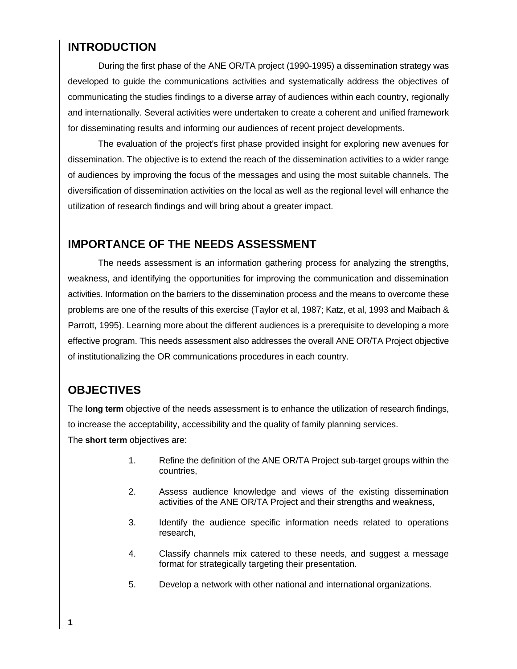## **INTRODUCTION**

During the first phase of the ANE OR/TA project (1990-1995) a dissemination strategy was developed to guide the communications activities and systematically address the objectives of communicating the studies findings to a diverse array of audiences within each country, regionally and internationally. Several activities were undertaken to create a coherent and unified framework for disseminating results and informing our audiences of recent project developments.

The evaluation of the project's first phase provided insight for exploring new avenues for dissemination. The objective is to extend the reach of the dissemination activities to a wider range of audiences by improving the focus of the messages and using the most suitable channels. The diversification of dissemination activities on the local as well as the regional level will enhance the utilization of research findings and will bring about a greater impact.

## **IMPORTANCE OF THE NEEDS ASSESSMENT**

The needs assessment is an information gathering process for analyzing the strengths, weakness, and identifying the opportunities for improving the communication and dissemination activities. Information on the barriers to the dissemination process and the means to overcome these problems are one of the results of this exercise (Taylor et al, 1987; Katz, et al, 1993 and Maibach & Parrott, 1995). Learning more about the different audiences is a prerequisite to developing a more effective program. This needs assessment also addresses the overall ANE OR/TA Project objective of institutionalizing the OR communications procedures in each country.

## **OBJECTIVES**

The **long term** objective of the needs assessment is to enhance the utilization of research findings, to increase the acceptability, accessibility and the quality of family planning services. The **short term** objectives are:

- 1. Refine the definition of the ANE OR/TA Project sub-target groups within the countries,
- 2. Assess audience knowledge and views of the existing dissemination activities of the ANE OR/TA Project and their strengths and weakness,
- 3. Identify the audience specific information needs related to operations research,
- 4. Classify channels mix catered to these needs, and suggest a message format for strategically targeting their presentation.
- 5. Develop a network with other national and international organizations.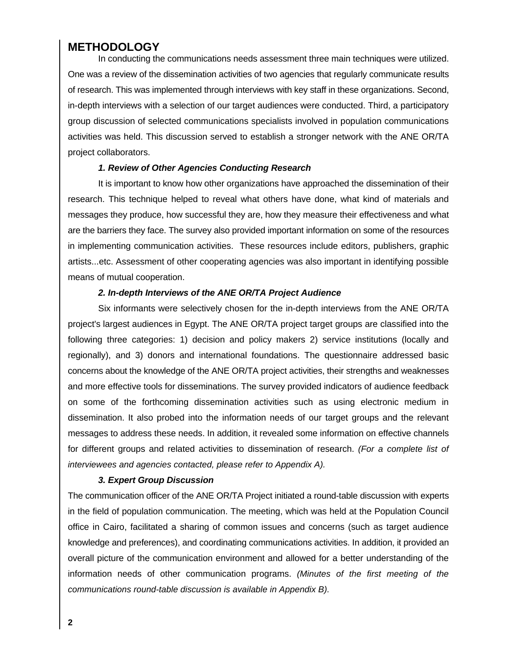### **METHODOLOGY**

In conducting the communications needs assessment three main techniques were utilized. One was a review of the dissemination activities of two agencies that regularly communicate results of research. This was implemented through interviews with key staff in these organizations. Second, in-depth interviews with a selection of our target audiences were conducted. Third, a participatory group discussion of selected communications specialists involved in population communications activities was held. This discussion served to establish a stronger network with the ANE OR/TA project collaborators.

#### *1. Review of Other Agencies Conducting Research*

It is important to know how other organizations have approached the dissemination of their research. This technique helped to reveal what others have done, what kind of materials and messages they produce, how successful they are, how they measure their effectiveness and what are the barriers they face. The survey also provided important information on some of the resources in implementing communication activities. These resources include editors, publishers, graphic artists...etc. Assessment of other cooperating agencies was also important in identifying possible means of mutual cooperation.

#### *2. In-depth Interviews of the ANE OR/TA Project Audience*

Six informants were selectively chosen for the in-depth interviews from the ANE OR/TA project's largest audiences in Egypt. The ANE OR/TA project target groups are classified into the following three categories: 1) decision and policy makers 2) service institutions (locally and regionally), and 3) donors and international foundations. The questionnaire addressed basic concerns about the knowledge of the ANE OR/TA project activities, their strengths and weaknesses and more effective tools for disseminations. The survey provided indicators of audience feedback on some of the forthcoming dissemination activities such as using electronic medium in dissemination. It also probed into the information needs of our target groups and the relevant messages to address these needs. In addition, it revealed some information on effective channels for different groups and related activities to dissemination of research. *(For a complete list of interviewees and agencies contacted, please refer to Appendix A).*

#### *3. Expert Group Discussion*

The communication officer of the ANE OR/TA Project initiated a round-table discussion with experts in the field of population communication. The meeting, which was held at the Population Council office in Cairo, facilitated a sharing of common issues and concerns (such as target audience knowledge and preferences), and coordinating communications activities. In addition, it provided an overall picture of the communication environment and allowed for a better understanding of the information needs of other communication programs. *(Minutes of the first meeting of the communications round-table discussion is available in Appendix B).*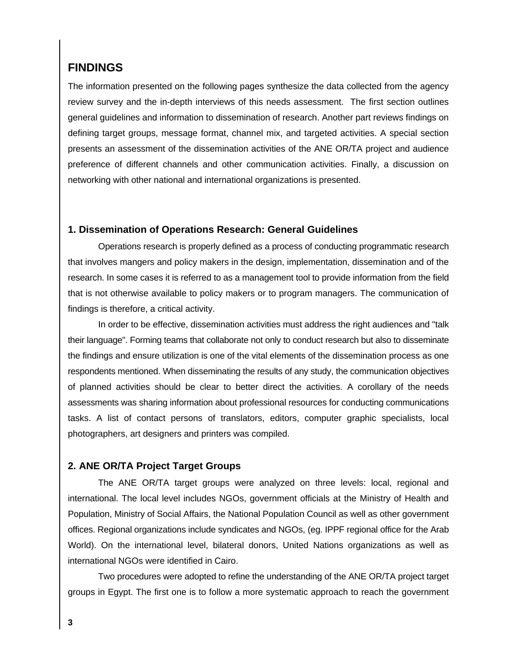### **FINDINGS**

The information presented on the following pages synthesize the data collected from the agency review survey and the in-depth interviews of this needs assessment. The first section outlines general guidelines and information to dissemination of research. Another part reviews findings on defining target groups, message format, channel mix, and targeted activities. A special section presents an assessment of the dissemination activities of the ANE OR/TA project and audience preference of different channels and other communication activities. Finally, a discussion on networking with other national and international organizations is presented.

#### **1. Dissemination of Operations Research: General Guidelines**

Operations research is properly defined as a process of conducting programmatic research that involves mangers and policy makers in the design, implementation, dissemination and of the research. In some cases it is referred to as a management tool to provide information from the field that is not otherwise available to policy makers or to program managers. The communication of findings is therefore, a critical activity.

In order to be effective, dissemination activities must address the right audiences and "talk their language". Forming teams that collaborate not only to conduct research but also to disseminate the findings and ensure utilization is one of the vital elements of the dissemination process as one respondents mentioned. When disseminating the results of any study, the communication objectives of planned activities should be clear to better direct the activities. A corollary of the needs assessments was sharing information about professional resources for conducting communications tasks. A list of contact persons of translators, editors, computer graphic specialists, local photographers, art designers and printers was compiled.

#### **2. ANE OR/TA Project Target Groups**

The ANE OR/TA target groups were analyzed on three levels: local, regional and international. The local level includes NGOs, government officials at the Ministry of Health and Population, Ministry of Social Affairs, the National Population Council as well as other government offices. Regional organizations include syndicates and NGOs, (eg. IPPF regional office for the Arab World). On the international level, bilateral donors, United Nations organizations as well as international NGOs were identified in Cairo.

Two procedures were adopted to refine the understanding of the ANE OR/TA project target groups in Egypt. The first one is to follow a more systematic approach to reach the government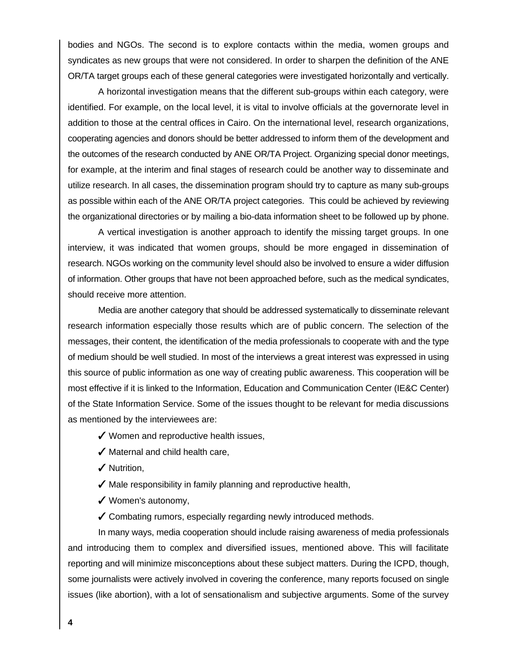bodies and NGOs. The second is to explore contacts within the media, women groups and syndicates as new groups that were not considered. In order to sharpen the definition of the ANE OR/TA target groups each of these general categories were investigated horizontally and vertically.

A horizontal investigation means that the different sub-groups within each category, were identified. For example, on the local level, it is vital to involve officials at the governorate level in addition to those at the central offices in Cairo. On the international level, research organizations, cooperating agencies and donors should be better addressed to inform them of the development and the outcomes of the research conducted by ANE OR/TA Project. Organizing special donor meetings, for example, at the interim and final stages of research could be another way to disseminate and utilize research. In all cases, the dissemination program should try to capture as many sub-groups as possible within each of the ANE OR/TA project categories. This could be achieved by reviewing the organizational directories or by mailing a bio-data information sheet to be followed up by phone.

A vertical investigation is another approach to identify the missing target groups. In one interview, it was indicated that women groups, should be more engaged in dissemination of research. NGOs working on the community level should also be involved to ensure a wider diffusion of information. Other groups that have not been approached before, such as the medical syndicates, should receive more attention.

Media are another category that should be addressed systematically to disseminate relevant research information especially those results which are of public concern. The selection of the messages, their content, the identification of the media professionals to cooperate with and the type of medium should be well studied. In most of the interviews a great interest was expressed in using this source of public information as one way of creating public awareness. This cooperation will be most effective if it is linked to the Information, Education and Communication Center (IE&C Center) of the State Information Service. Some of the issues thought to be relevant for media discussions as mentioned by the interviewees are:

 $\checkmark$  Women and reproductive health issues,

 $\sqrt{\ }$  Maternal and child health care,

 $\checkmark$  Nutrition,

- $\blacktriangledown$  Male responsibility in family planning and reproductive health,
- $\checkmark$  Women's autonomy,

 $\checkmark$  Combating rumors, especially regarding newly introduced methods.

In many ways, media cooperation should include raising awareness of media professionals and introducing them to complex and diversified issues, mentioned above. This will facilitate reporting and will minimize misconceptions about these subject matters. During the ICPD, though, some journalists were actively involved in covering the conference, many reports focused on single issues (like abortion), with a lot of sensationalism and subjective arguments. Some of the survey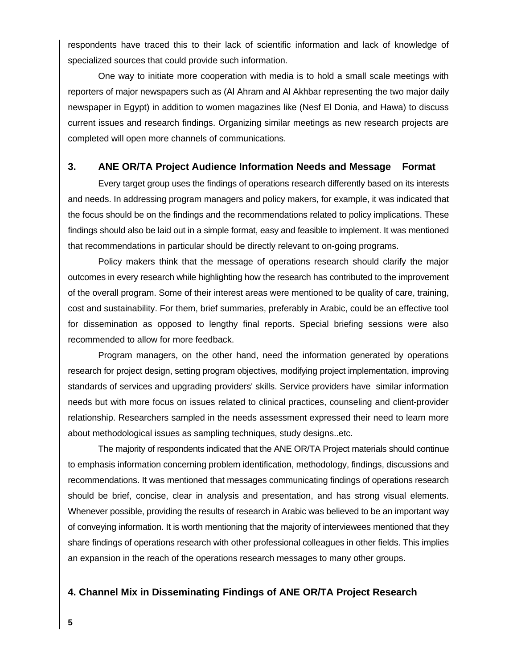respondents have traced this to their lack of scientific information and lack of knowledge of specialized sources that could provide such information.

One way to initiate more cooperation with media is to hold a small scale meetings with reporters of major newspapers such as (Al Ahram and Al Akhbar representing the two major daily newspaper in Egypt) in addition to women magazines like (Nesf El Donia, and Hawa) to discuss current issues and research findings. Organizing similar meetings as new research projects are completed will open more channels of communications.

#### **3. ANE OR/TA Project Audience Information Needs and Message Format**

Every target group uses the findings of operations research differently based on its interests and needs. In addressing program managers and policy makers, for example, it was indicated that the focus should be on the findings and the recommendations related to policy implications. These findings should also be laid out in a simple format, easy and feasible to implement. It was mentioned that recommendations in particular should be directly relevant to on-going programs.

Policy makers think that the message of operations research should clarify the major outcomes in every research while highlighting how the research has contributed to the improvement of the overall program. Some of their interest areas were mentioned to be quality of care, training, cost and sustainability. For them, brief summaries, preferably in Arabic, could be an effective tool for dissemination as opposed to lengthy final reports. Special briefing sessions were also recommended to allow for more feedback.

Program managers, on the other hand, need the information generated by operations research for project design, setting program objectives, modifying project implementation, improving standards of services and upgrading providers' skills. Service providers have similar information needs but with more focus on issues related to clinical practices, counseling and client-provider relationship. Researchers sampled in the needs assessment expressed their need to learn more about methodological issues as sampling techniques, study designs..etc.

The majority of respondents indicated that the ANE OR/TA Project materials should continue to emphasis information concerning problem identification, methodology, findings, discussions and recommendations. It was mentioned that messages communicating findings of operations research should be brief, concise, clear in analysis and presentation, and has strong visual elements. Whenever possible, providing the results of research in Arabic was believed to be an important way of conveying information. It is worth mentioning that the majority of interviewees mentioned that they share findings of operations research with other professional colleagues in other fields. This implies an expansion in the reach of the operations research messages to many other groups.

### **4. Channel Mix in Disseminating Findings of ANE OR/TA Project Research**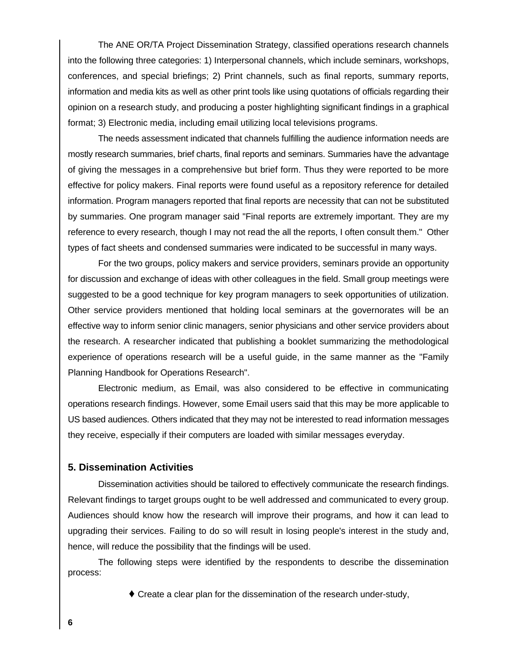The ANE OR/TA Project Dissemination Strategy, classified operations research channels into the following three categories: 1) Interpersonal channels, which include seminars, workshops, conferences, and special briefings; 2) Print channels, such as final reports, summary reports, information and media kits as well as other print tools like using quotations of officials regarding their opinion on a research study, and producing a poster highlighting significant findings in a graphical format; 3) Electronic media, including email utilizing local televisions programs.

The needs assessment indicated that channels fulfilling the audience information needs are mostly research summaries, brief charts, final reports and seminars. Summaries have the advantage of giving the messages in a comprehensive but brief form. Thus they were reported to be more effective for policy makers. Final reports were found useful as a repository reference for detailed information. Program managers reported that final reports are necessity that can not be substituted by summaries. One program manager said "Final reports are extremely important. They are my reference to every research, though I may not read the all the reports, I often consult them." Other types of fact sheets and condensed summaries were indicated to be successful in many ways.

For the two groups, policy makers and service providers, seminars provide an opportunity for discussion and exchange of ideas with other colleagues in the field. Small group meetings were suggested to be a good technique for key program managers to seek opportunities of utilization. Other service providers mentioned that holding local seminars at the governorates will be an effective way to inform senior clinic managers, senior physicians and other service providers about the research. A researcher indicated that publishing a booklet summarizing the methodological experience of operations research will be a useful guide, in the same manner as the "Family Planning Handbook for Operations Research".

Electronic medium, as Email, was also considered to be effective in communicating operations research findings. However, some Email users said that this may be more applicable to US based audiences. Others indicated that they may not be interested to read information messages they receive, especially if their computers are loaded with similar messages everyday.

#### **5. Dissemination Activities**

Dissemination activities should be tailored to effectively communicate the research findings. Relevant findings to target groups ought to be well addressed and communicated to every group. Audiences should know how the research will improve their programs, and how it can lead to upgrading their services. Failing to do so will result in losing people's interest in the study and, hence, will reduce the possibility that the findings will be used.

The following steps were identified by the respondents to describe the dissemination process:

Ç Create a clear plan for the dissemination of the research under-study,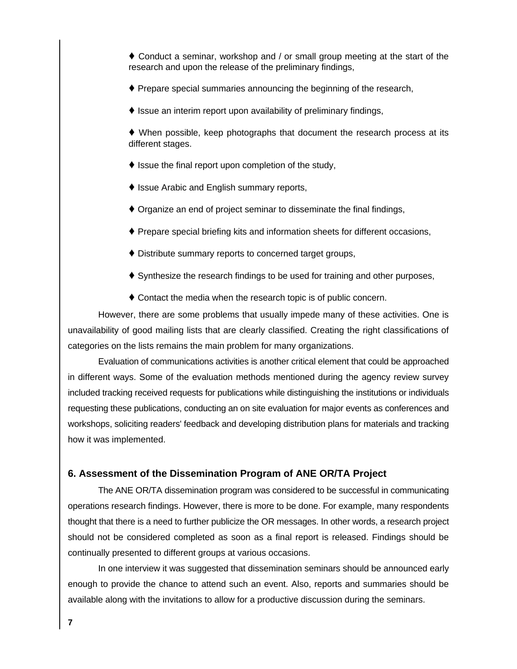$\triangle$  Conduct a seminar, workshop and / or small group meeting at the start of the research and upon the release of the preliminary findings,

- $\blacklozenge$  Prepare special summaries announcing the beginning of the research,
- $\blacklozenge$  Issue an interim report upon availability of preliminary findings,

 $\blacklozenge$  When possible, keep photographs that document the research process at its different stages.

- $\blacklozenge$  Issue the final report upon completion of the study,
- ♦ Issue Arabic and English summary reports,
- $\blacklozenge$  Organize an end of project seminar to disseminate the final findings,
- Ç Prepare special briefing kits and information sheets for different occasions,
- $\blacklozenge$  Distribute summary reports to concerned target groups,
- $\blacklozenge$  Synthesize the research findings to be used for training and other purposes,
- $\triangle$  Contact the media when the research topic is of public concern.

However, there are some problems that usually impede many of these activities. One is unavailability of good mailing lists that are clearly classified. Creating the right classifications of categories on the lists remains the main problem for many organizations.

Evaluation of communications activities is another critical element that could be approached in different ways. Some of the evaluation methods mentioned during the agency review survey included tracking received requests for publications while distinguishing the institutions or individuals requesting these publications, conducting an on site evaluation for major events as conferences and workshops, soliciting readers' feedback and developing distribution plans for materials and tracking how it was implemented.

#### **6. Assessment of the Dissemination Program of ANE OR/TA Project**

The ANE OR/TA dissemination program was considered to be successful in communicating operations research findings. However, there is more to be done. For example, many respondents thought that there is a need to further publicize the OR messages. In other words, a research project should not be considered completed as soon as a final report is released. Findings should be continually presented to different groups at various occasions.

In one interview it was suggested that dissemination seminars should be announced early enough to provide the chance to attend such an event. Also, reports and summaries should be available along with the invitations to allow for a productive discussion during the seminars.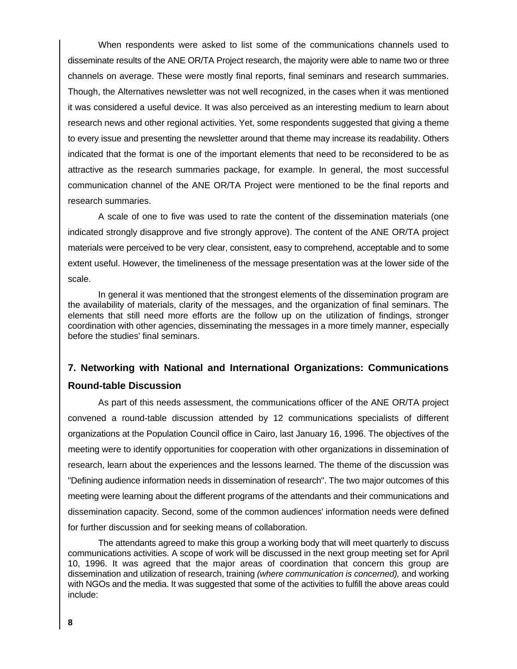When respondents were asked to list some of the communications channels used to disseminate results of the ANE OR/TA Project research, the majority were able to name two or three channels on average. These were mostly final reports, final seminars and research summaries. Though, the Alternatives newsletter was not well recognized, in the cases when it was mentioned it was considered a useful device. It was also perceived as an interesting medium to learn about research news and other regional activities. Yet, some respondents suggested that giving a theme to every issue and presenting the newsletter around that theme may increase its readability. Others indicated that the format is one of the important elements that need to be reconsidered to be as attractive as the research summaries package, for example. In general, the most successful communication channel of the ANE OR/TA Project were mentioned to be the final reports and research summaries.

A scale of one to five was used to rate the content of the dissemination materials (one indicated strongly disapprove and five strongly approve). The content of the ANE OR/TA project materials were perceived to be very clear, consistent, easy to comprehend, acceptable and to some extent useful. However, the timelineness of the message presentation was at the lower side of the scale.

In general it was mentioned that the strongest elements of the dissemination program are the availability of materials, clarity of the messages, and the organization of final seminars. The elements that still need more efforts are the follow up on the utilization of findings, stronger coordination with other agencies, disseminating the messages in a more timely manner, especially before the studies' final seminars.

## **7. Networking with National and International Organizations: Communications Round-table Discussion**

As part of this needs assessment, the communications officer of the ANE OR/TA project convened a round-table discussion attended by 12 communications specialists of different organizations at the Population Council office in Cairo, last January 16, 1996. The objectives of the meeting were to identify opportunities for cooperation with other organizations in dissemination of research, learn about the experiences and the lessons learned. The theme of the discussion was "Defining audience information needs in dissemination of research". The two major outcomes of this meeting were learning about the different programs of the attendants and their communications and dissemination capacity. Second, some of the common audiences' information needs were defined for further discussion and for seeking means of collaboration.

The attendants agreed to make this group a working body that will meet quarterly to discuss communications activities. A scope of work will be discussed in the next group meeting set for April 10, 1996. It was agreed that the major areas of coordination that concern this group are dissemination and utilization of research, training *(where communication is concerned),* and working with NGOs and the media. It was suggested that some of the activities to fulfill the above areas could include: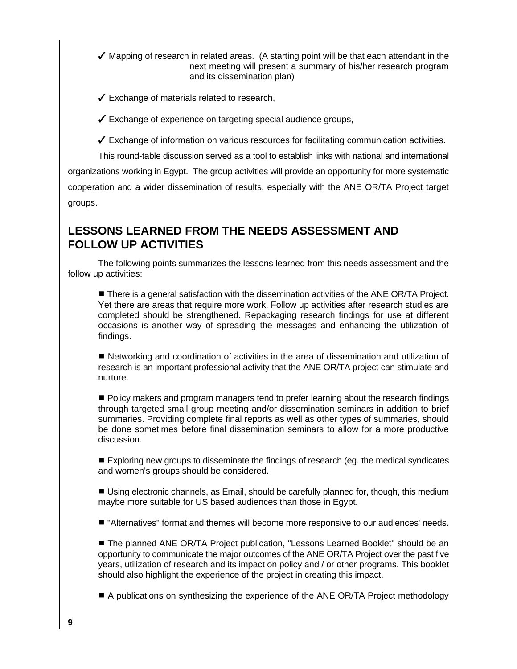- $\checkmark$  Mapping of research in related areas. (A starting point will be that each attendant in the next meeting will present a summary of his/her research program and its dissemination plan)
- $\checkmark$  Exchange of materials related to research,

 $\checkmark$  Exchange of experience on targeting special audience groups,

 $\checkmark$  Exchange of information on various resources for facilitating communication activities.

This round-table discussion served as a tool to establish links with national and international organizations working in Egypt. The group activities will provide an opportunity for more systematic cooperation and a wider dissemination of results, especially with the ANE OR/TA Project target groups.

## **LESSONS LEARNED FROM THE NEEDS ASSESSMENT AND FOLLOW UP ACTIVITIES**

The following points summarizes the lessons learned from this needs assessment and the follow up activities:

**There is a general satisfaction with the dissemination activities of the ANE OR/TA Project.** Yet there are areas that require more work. Follow up activities after research studies are completed should be strengthened. Repackaging research findings for use at different occasions is another way of spreading the messages and enhancing the utilization of findings.

**E** Networking and coordination of activities in the area of dissemination and utilization of research is an important professional activity that the ANE OR/TA project can stimulate and nurture.

**Policy makers and program managers tend to prefer learning about the research findings** through targeted small group meeting and/or dissemination seminars in addition to brief summaries. Providing complete final reports as well as other types of summaries, should be done sometimes before final dissemination seminars to allow for a more productive discussion.

**Exploring new groups to disseminate the findings of research (eg. the medical syndicates** and women's groups should be considered.

**Using electronic channels, as Email, should be carefully planned for, though, this medium** maybe more suitable for US based audiences than those in Egypt.

 $\blacksquare$  "Alternatives" format and themes will become more responsive to our audiences' needs.

■ The planned ANE OR/TA Project publication, "Lessons Learned Booklet" should be an opportunity to communicate the major outcomes of the ANE OR/TA Project over the past five years, utilization of research and its impact on policy and / or other programs. This booklet should also highlight the experience of the project in creating this impact.

■ A publications on synthesizing the experience of the ANE OR/TA Project methodology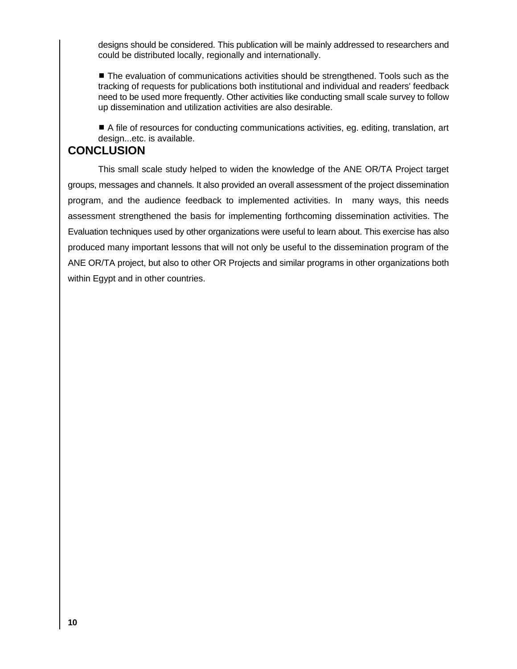designs should be considered. This publication will be mainly addressed to researchers and could be distributed locally, regionally and internationally.

**The evaluation of communications activities should be strengthened. Tools such as the** tracking of requests for publications both institutional and individual and readers' feedback need to be used more frequently. Other activities like conducting small scale survey to follow up dissemination and utilization activities are also desirable.

■ A file of resources for conducting communications activities, eg. editing, translation, art design...etc. is available.

## **CONCLUSION**

This small scale study helped to widen the knowledge of the ANE OR/TA Project target groups, messages and channels. It also provided an overall assessment of the project dissemination program, and the audience feedback to implemented activities. In many ways, this needs assessment strengthened the basis for implementing forthcoming dissemination activities. The Evaluation techniques used by other organizations were useful to learn about. This exercise has also produced many important lessons that will not only be useful to the dissemination program of the ANE OR/TA project, but also to other OR Projects and similar programs in other organizations both within Egypt and in other countries.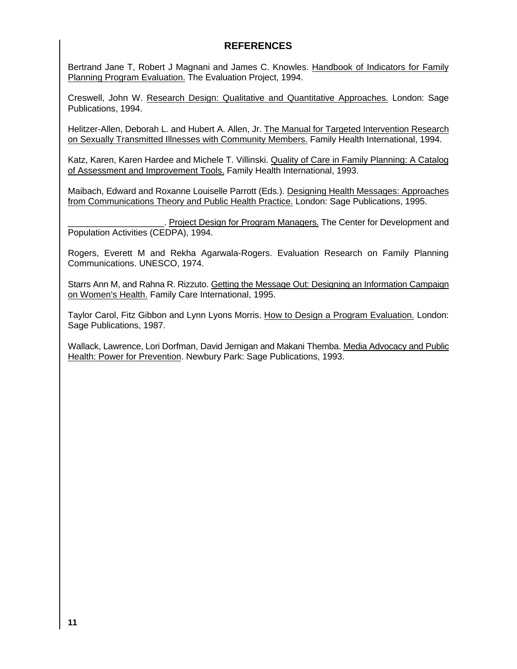### **REFERENCES**

Bertrand Jane T, Robert J Magnani and James C. Knowles. Handbook of Indicators for Family Planning Program Evaluation. The Evaluation Project, 1994.

Creswell, John W. Research Design: Qualitative and Quantitative Approaches. London: Sage Publications, 1994.

Helitzer-Allen, Deborah L. and Hubert A. Allen, Jr. The Manual for Targeted Intervention Research on Sexually Transmitted Illnesses with Community Members. Family Health International, 1994.

Katz, Karen, Karen Hardee and Michele T. Villinski. Quality of Care in Family Planning: A Catalog of Assessment and Improvement Tools. Family Health International, 1993.

Maibach, Edward and Roxanne Louiselle Parrott (Eds.). Designing Health Messages: Approaches from Communications Theory and Public Health Practice. London: Sage Publications, 1995.

. Project Design for Program Managers. The Center for Development and Population Activities (CEDPA), 1994.

Rogers, Everett M and Rekha Agarwala-Rogers. Evaluation Research on Family Planning Communications. UNESCO, 1974.

Starrs Ann M, and Rahna R. Rizzuto. Getting the Message Out: Designing an Information Campaign on Women's Health. Family Care International, 1995.

Taylor Carol, Fitz Gibbon and Lynn Lyons Morris. How to Design a Program Evaluation. London: Sage Publications, 1987.

Wallack, Lawrence, Lori Dorfman, David Jernigan and Makani Themba. Media Advocacy and Public Health: Power for Prevention. Newbury Park: Sage Publications, 1993.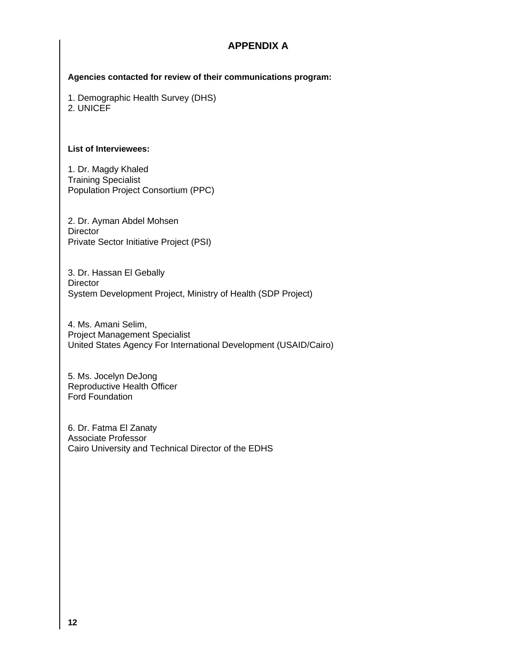### **APPENDIX A**

**Agencies contacted for review of their communications program:**

1. Demographic Health Survey (DHS)

2. UNICEF

#### **List of Interviewees:**

1. Dr. Magdy Khaled Training Specialist Population Project Consortium (PPC)

2. Dr. Ayman Abdel Mohsen **Director** Private Sector Initiative Project (PSI)

3. Dr. Hassan El Gebally **Director** System Development Project, Ministry of Health (SDP Project)

4. Ms. Amani Selim, Project Management Specialist United States Agency For International Development (USAID/Cairo)

5. Ms. Jocelyn DeJong Reproductive Health Officer Ford Foundation

6. Dr. Fatma El Zanaty Associate Professor Cairo University and Technical Director of the EDHS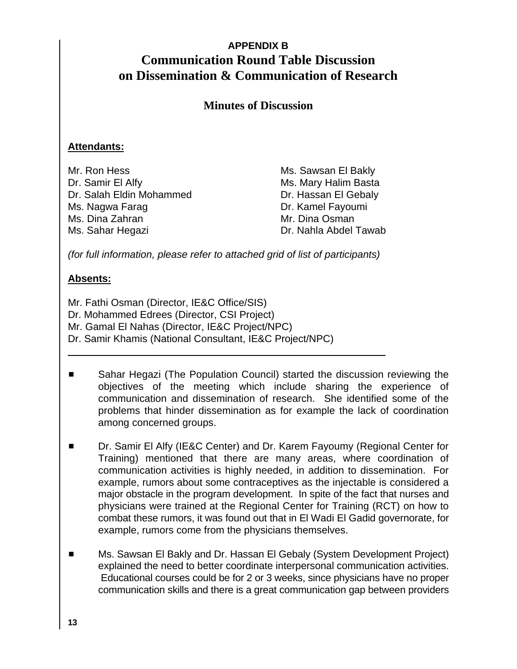## **APPENDIX B Communication Round Table Discussion on Dissemination & Communication of Research**

## **Minutes of Discussion**

### **Attendants:**

Mr. Ron Hess Ms. Sawsan El Bakly Dr. Samir El Alfy Ms. Mary Halim Basta Dr. Salah Eldin Mohammed Dr. Hassan El Gebaly Ms. Nagwa Farag **Dr. Kamel Fayoumi** Ms. Dina Zahran Mr. Dina Osman Ms. Sahar Hegazi Dr. Nahla Abdel Tawab

*(for full information, please refer to attached grid of list of participants)*

### **Absents:**

 $\overline{a}$ 

Mr. Fathi Osman (Director, IE&C Office/SIS) Dr. Mohammed Edrees (Director, CSI Project) Mr. Gamal El Nahas (Director, IE&C Project/NPC) Dr. Samir Khamis (National Consultant, IE&C Project/NPC)

- Sahar Hegazi (The Population Council) started the discussion reviewing the objectives of the meeting which include sharing the experience of communication and dissemination of research. She identified some of the problems that hinder dissemination as for example the lack of coordination among concerned groups.
- Dr. Samir El Alfy (IE&C Center) and Dr. Karem Fayoumy (Regional Center for Training) mentioned that there are many areas, where coordination of communication activities is highly needed, in addition to dissemination. For example, rumors about some contraceptives as the injectable is considered a major obstacle in the program development. In spite of the fact that nurses and physicians were trained at the Regional Center for Training (RCT) on how to combat these rumors, it was found out that in El Wadi El Gadid governorate, for example, rumors come from the physicians themselves.
- Ms. Sawsan El Bakly and Dr. Hassan El Gebaly (System Development Project) explained the need to better coordinate interpersonal communication activities. Educational courses could be for 2 or 3 weeks, since physicians have no proper communication skills and there is a great communication gap between providers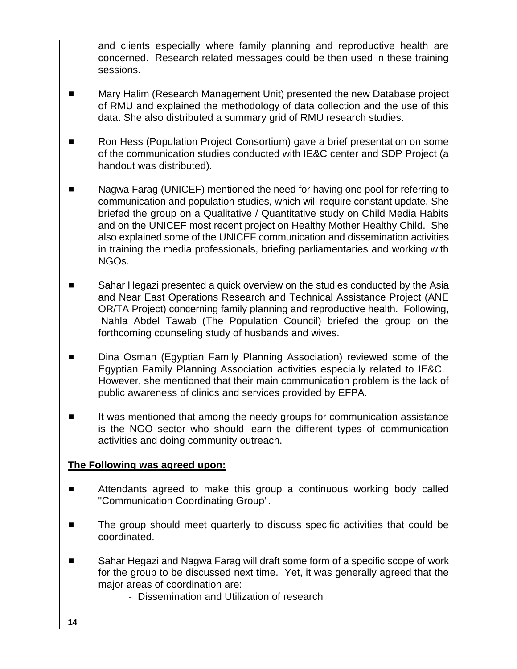and clients especially where family planning and reproductive health are concerned. Research related messages could be then used in these training sessions.

- Mary Halim (Research Management Unit) presented the new Database project of RMU and explained the methodology of data collection and the use of this data. She also distributed a summary grid of RMU research studies.
- **EXECT** Ron Hess (Population Project Consortium) gave a brief presentation on some of the communication studies conducted with IE&C center and SDP Project (a handout was distributed).
- Nagwa Farag (UNICEF) mentioned the need for having one pool for referring to communication and population studies, which will require constant update. She briefed the group on a Qualitative / Quantitative study on Child Media Habits and on the UNICEF most recent project on Healthy Mother Healthy Child. She also explained some of the UNICEF communication and dissemination activities in training the media professionals, briefing parliamentaries and working with NGOs.
- Sahar Hegazi presented a quick overview on the studies conducted by the Asia and Near East Operations Research and Technical Assistance Project (ANE OR/TA Project) concerning family planning and reproductive health. Following, Nahla Abdel Tawab (The Population Council) briefed the group on the forthcoming counseling study of husbands and wives.
- **EXED** Dina Osman (Egyptian Family Planning Association) reviewed some of the Egyptian Family Planning Association activities especially related to IE&C. However, she mentioned that their main communication problem is the lack of public awareness of clinics and services provided by EFPA.
- It was mentioned that among the needy groups for communication assistance is the NGO sector who should learn the different types of communication activities and doing community outreach.

### **The Following was agreed upon:**

- **EXECUTE:** Attendants agreed to make this group a continuous working body called "Communication Coordinating Group".
- The group should meet quarterly to discuss specific activities that could be coordinated.
- Sahar Hegazi and Nagwa Farag will draft some form of a specific scope of work for the group to be discussed next time. Yet, it was generally agreed that the major areas of coordination are:
	- Dissemination and Utilization of research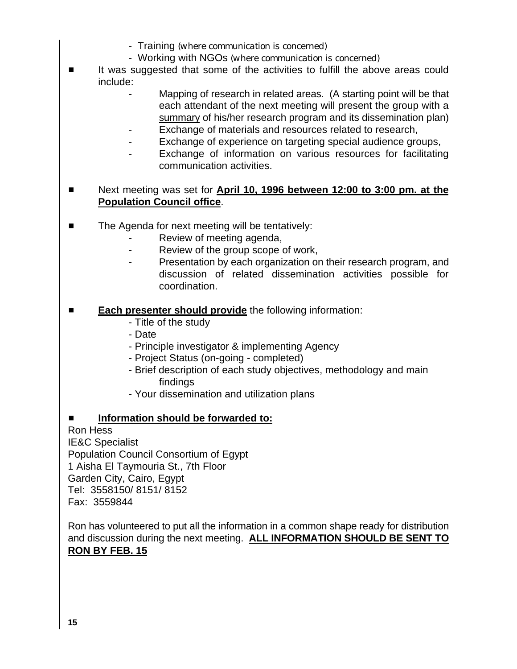- Training *(where communication is concerned)*
- Working with NGOs *(where communication is concerned)*
- It was suggested that some of the activities to fulfill the above areas could include:
	- Mapping of research in related areas. (A starting point will be that each attendant of the next meeting will present the group with a summary of his/her research program and its dissemination plan)
	- Exchange of materials and resources related to research,
	- Exchange of experience on targeting special audience groups,
	- Exchange of information on various resources for facilitating communication activities.
- **EXECUTE:** Next meeting was set for **April 10, 1996 between 12:00 to 3:00 pm. at the Population Council office**.
- $\blacksquare$  The Agenda for next meeting will be tentatively:
	- Review of meeting agenda,
	- Review of the group scope of work,
	- Presentation by each organization on their research program, and discussion of related dissemination activities possible for coordination.
- **Each presenter should provide** the following information:
	- Title of the study
	- Date
	- Principle investigator & implementing Agency
	- Project Status (on-going completed)
	- Brief description of each study objectives, methodology and main findings
	- Your dissemination and utilization plans

### **Information should be forwarded to:**

Ron Hess IE&C Specialist Population Council Consortium of Egypt 1 Aisha El Taymouria St., 7th Floor Garden City, Cairo, Egypt Tel: 3558150/ 8151/ 8152 Fax: 3559844

Ron has volunteered to put all the information in a common shape ready for distribution and discussion during the next meeting. **ALL INFORMATION SHOULD BE SENT TO RON BY FEB. 15**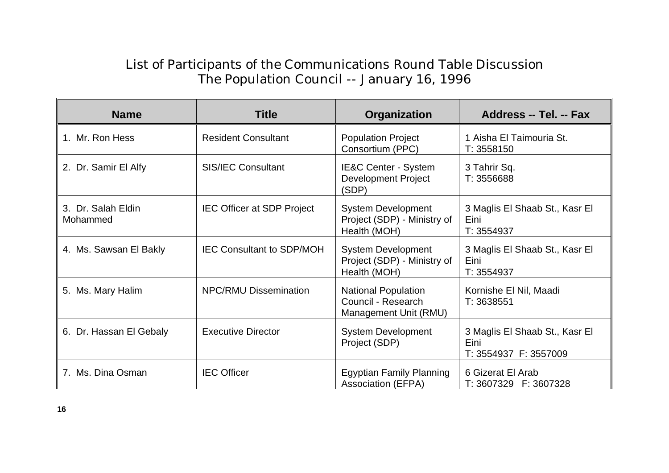# List of Participants of the Communications Round Table Discussion The Population Council -- January 16, 1996

| <b>Name</b>                    | <b>Title</b>                      | Organization                                                              | Address -- Tel. -- Fax                                          |
|--------------------------------|-----------------------------------|---------------------------------------------------------------------------|-----------------------------------------------------------------|
| 1. Mr. Ron Hess                | <b>Resident Consultant</b>        | <b>Population Project</b><br>Consortium (PPC)                             | 1 Aisha El Taimouria St.<br>T: 3558150                          |
| 2. Dr. Samir El Alfy           | <b>SIS/IEC Consultant</b>         | <b>IE&amp;C Center - System</b><br><b>Development Project</b><br>(SDP)    | 3 Tahrir Sq.<br>T: 3556688                                      |
| 3. Dr. Salah Eldin<br>Mohammed | <b>IEC Officer at SDP Project</b> | <b>System Development</b><br>Project (SDP) - Ministry of<br>Health (MOH)  | 3 Maglis El Shaab St., Kasr El<br>Eini<br>T: 3554937            |
| 4. Ms. Sawsan El Bakly         | <b>IEC Consultant to SDP/MOH</b>  | <b>System Development</b><br>Project (SDP) - Ministry of<br>Health (MOH)  | 3 Maglis El Shaab St., Kasr El<br>Eini<br>T: 3554937            |
| 5. Ms. Mary Halim              | <b>NPC/RMU Dissemination</b>      | <b>National Population</b><br>Council - Research<br>Management Unit (RMU) | Kornishe El Nil, Maadi<br>T: 3638551                            |
| 6. Dr. Hassan El Gebaly        | <b>Executive Director</b>         | <b>System Development</b><br>Project (SDP)                                | 3 Maglis El Shaab St., Kasr El<br>Eini<br>T: 3554937 F: 3557009 |
| 7. Ms. Dina Osman              | <b>IEC Officer</b>                | <b>Egyptian Family Planning</b><br><b>Association (EFPA)</b>              | 6 Gizerat El Arab<br>T: 3607329 F: 3607328                      |

**16**